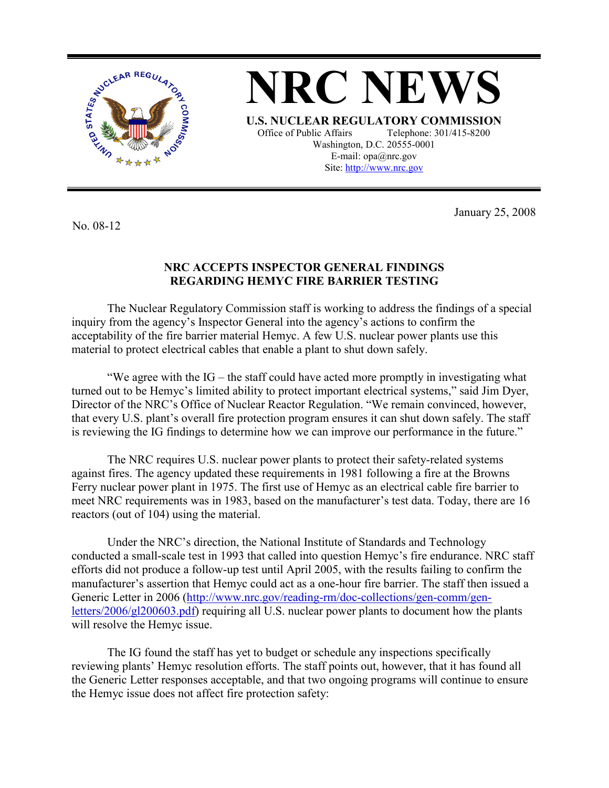

**NRC NEWS U.S. NUCLEAR REGULATORY COMMISSION** Office of Public Affairs Telephone: 301/415-8200 Washington, D.C. 20555-0001 E-mail: opa@nrc.gov Site: http://www.nrc.gov

No. 08-12

January 25, 2008

## **NRC ACCEPTS INSPECTOR GENERAL FINDINGS REGARDING HEMYC FIRE BARRIER TESTING**

 The Nuclear Regulatory Commission staff is working to address the findings of a special inquiry from the agency's Inspector General into the agency's actions to confirm the acceptability of the fire barrier material Hemyc. A few U.S. nuclear power plants use this material to protect electrical cables that enable a plant to shut down safely.

 "We agree with the IG – the staff could have acted more promptly in investigating what turned out to be Hemyc's limited ability to protect important electrical systems," said Jim Dyer, Director of the NRC's Office of Nuclear Reactor Regulation. "We remain convinced, however, that every U.S. plant's overall fire protection program ensures it can shut down safely. The staff is reviewing the IG findings to determine how we can improve our performance in the future."

 The NRC requires U.S. nuclear power plants to protect their safety-related systems against fires. The agency updated these requirements in 1981 following a fire at the Browns Ferry nuclear power plant in 1975. The first use of Hemyc as an electrical cable fire barrier to meet NRC requirements was in 1983, based on the manufacturer's test data. Today, there are 16 reactors (out of 104) using the material.

Under the NRC's direction, the National Institute of Standards and Technology conducted a small-scale test in 1993 that called into question Hemyc's fire endurance. NRC staff efforts did not produce a follow-up test until April 2005, with the results failing to confirm the manufacturer's assertion that Hemyc could act as a one-hour fire barrier. The staff then issued a Generic Letter in 2006 (http://www.nrc.gov/reading-rm/doc-collections/gen-comm/genletters/2006/gl200603.pdf) requiring all U.S. nuclear power plants to document how the plants will resolve the Hemyc issue.

 The IG found the staff has yet to budget or schedule any inspections specifically reviewing plants' Hemyc resolution efforts. The staff points out, however, that it has found all the Generic Letter responses acceptable, and that two ongoing programs will continue to ensure the Hemyc issue does not affect fire protection safety: